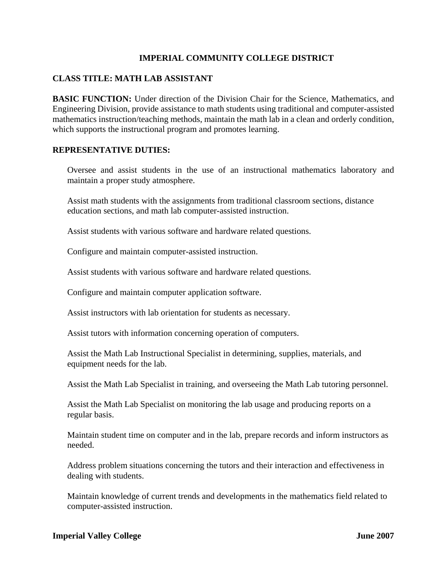# **IMPERIAL COMMUNITY COLLEGE DISTRICT**

## **CLASS TITLE: MATH LAB ASSISTANT**

**BASIC FUNCTION:** Under direction of the Division Chair for the Science, Mathematics, and Engineering Division, provide assistance to math students using traditional and computer-assisted mathematics instruction/teaching methods, maintain the math lab in a clean and orderly condition, which supports the instructional program and promotes learning.

### **REPRESENTATIVE DUTIES:**

Oversee and assist students in the use of an instructional mathematics laboratory and maintain a proper study atmosphere.

Assist math students with the assignments from traditional classroom sections, distance education sections, and math lab computer-assisted instruction.

Assist students with various software and hardware related questions.

Configure and maintain computer-assisted instruction.

Assist students with various software and hardware related questions.

Configure and maintain computer application software.

Assist instructors with lab orientation for students as necessary.

Assist tutors with information concerning operation of computers.

Assist the Math Lab Instructional Specialist in determining, supplies, materials, and equipment needs for the lab.

Assist the Math Lab Specialist in training, and overseeing the Math Lab tutoring personnel.

Assist the Math Lab Specialist on monitoring the lab usage and producing reports on a regular basis.

Maintain student time on computer and in the lab, prepare records and inform instructors as needed.

Address problem situations concerning the tutors and their interaction and effectiveness in dealing with students.

Maintain knowledge of current trends and developments in the mathematics field related to computer-assisted instruction.